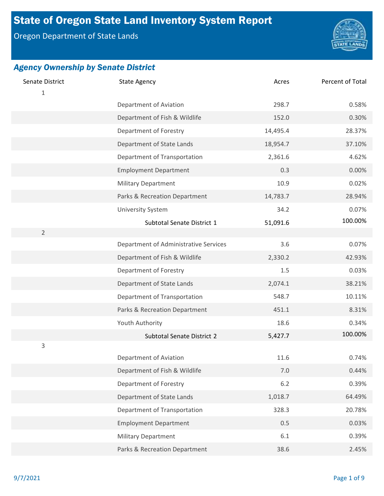# State of Oregon State Land Inventory System Report

Oregon Department of State Lands



| Senate District<br>1 | <b>State Agency</b>                   | Acres    | Percent of Total |
|----------------------|---------------------------------------|----------|------------------|
|                      | Department of Aviation                | 298.7    | 0.58%            |
|                      | Department of Fish & Wildlife         | 152.0    | 0.30%            |
|                      | Department of Forestry                | 14,495.4 | 28.37%           |
|                      | Department of State Lands             | 18,954.7 | 37.10%           |
|                      | Department of Transportation          | 2,361.6  | 4.62%            |
|                      | <b>Employment Department</b>          | 0.3      | 0.00%            |
|                      | <b>Military Department</b>            | 10.9     | 0.02%            |
|                      | Parks & Recreation Department         | 14,783.7 | 28.94%           |
|                      | <b>University System</b>              | 34.2     | 0.07%            |
|                      | Subtotal Senate District 1            | 51,091.6 | 100.00%          |
| $\overline{2}$       |                                       |          |                  |
|                      | Department of Administrative Services | 3.6      | 0.07%            |
|                      | Department of Fish & Wildlife         | 2,330.2  | 42.93%           |
|                      | Department of Forestry                | 1.5      | 0.03%            |
|                      | Department of State Lands             | 2,074.1  | 38.21%           |
|                      | Department of Transportation          | 548.7    | 10.11%           |
|                      | Parks & Recreation Department         | 451.1    | 8.31%            |
|                      | Youth Authority                       | 18.6     | 0.34%            |
|                      | Subtotal Senate District 2            | 5,427.7  | 100.00%          |
| 3                    |                                       |          |                  |
|                      | Department of Aviation                | 11.6     | 0.74%            |
|                      | Department of Fish & Wildlife         | $7.0\,$  | 0.44%            |
|                      | Department of Forestry                | $6.2$    | 0.39%            |
|                      | Department of State Lands             | 1,018.7  | 64.49%           |
|                      | Department of Transportation          | 328.3    | 20.78%           |
|                      | <b>Employment Department</b>          | 0.5      | 0.03%            |
|                      | <b>Military Department</b>            | 6.1      | 0.39%            |
|                      | Parks & Recreation Department         | 38.6     | 2.45%            |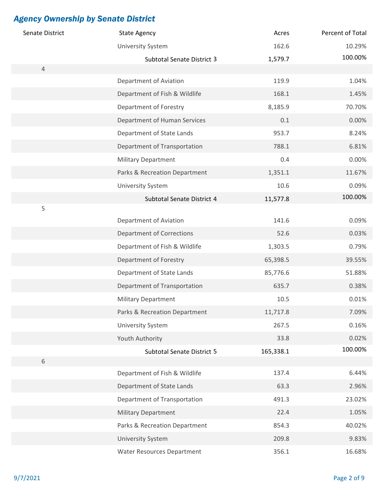| Senate District | <b>State Agency</b>               | Acres     | Percent of Total |
|-----------------|-----------------------------------|-----------|------------------|
|                 | <b>University System</b>          | 162.6     | 10.29%           |
|                 | <b>Subtotal Senate District 3</b> | 1,579.7   | 100.00%          |
| $\overline{4}$  |                                   |           |                  |
|                 | Department of Aviation            | 119.9     | 1.04%            |
|                 | Department of Fish & Wildlife     | 168.1     | 1.45%            |
|                 | Department of Forestry            | 8,185.9   | 70.70%           |
|                 | Department of Human Services      | 0.1       | 0.00%            |
|                 | Department of State Lands         | 953.7     | 8.24%            |
|                 | Department of Transportation      | 788.1     | 6.81%            |
|                 | <b>Military Department</b>        | 0.4       | 0.00%            |
|                 | Parks & Recreation Department     | 1,351.1   | 11.67%           |
|                 | University System                 | 10.6      | 0.09%            |
|                 | Subtotal Senate District 4        | 11,577.8  | 100.00%          |
| 5               |                                   |           |                  |
|                 | Department of Aviation            | 141.6     | 0.09%            |
|                 | <b>Department of Corrections</b>  | 52.6      | 0.03%            |
|                 | Department of Fish & Wildlife     | 1,303.5   | 0.79%            |
|                 | Department of Forestry            | 65,398.5  | 39.55%           |
|                 | Department of State Lands         | 85,776.6  | 51.88%           |
|                 | Department of Transportation      | 635.7     | 0.38%            |
|                 | <b>Military Department</b>        | 10.5      | 0.01%            |
|                 | Parks & Recreation Department     | 11,717.8  | 7.09%            |
|                 | <b>University System</b>          | 267.5     | 0.16%            |
|                 | Youth Authority                   | 33.8      | 0.02%            |
|                 | Subtotal Senate District 5        | 165,338.1 | 100.00%          |
| $\,$ 6 $\,$     |                                   |           |                  |
|                 | Department of Fish & Wildlife     | 137.4     | 6.44%            |
|                 | Department of State Lands         | 63.3      | 2.96%            |
|                 | Department of Transportation      | 491.3     | 23.02%           |
|                 | <b>Military Department</b>        | 22.4      | 1.05%            |
|                 | Parks & Recreation Department     | 854.3     | 40.02%           |
|                 | University System                 | 209.8     | 9.83%            |
|                 | <b>Water Resources Department</b> | 356.1     | 16.68%           |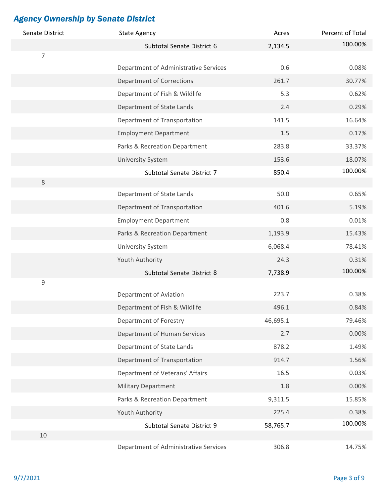| Senate District | <b>State Agency</b>                   | Acres    | Percent of Total |
|-----------------|---------------------------------------|----------|------------------|
|                 | Subtotal Senate District 6            | 2,134.5  | 100.00%          |
| $\overline{7}$  |                                       |          |                  |
|                 | Department of Administrative Services | 0.6      | 0.08%            |
|                 | <b>Department of Corrections</b>      | 261.7    | 30.77%           |
|                 | Department of Fish & Wildlife         | 5.3      | 0.62%            |
|                 | Department of State Lands             | 2.4      | 0.29%            |
|                 | Department of Transportation          | 141.5    | 16.64%           |
|                 | <b>Employment Department</b>          | $1.5\,$  | 0.17%            |
|                 | Parks & Recreation Department         | 283.8    | 33.37%           |
|                 | <b>University System</b>              | 153.6    | 18.07%           |
|                 | Subtotal Senate District 7            | 850.4    | 100.00%          |
| 8               |                                       |          |                  |
|                 | Department of State Lands             | 50.0     | 0.65%            |
|                 | Department of Transportation          | 401.6    | 5.19%            |
|                 | <b>Employment Department</b>          | 0.8      | 0.01%            |
|                 | Parks & Recreation Department         | 1,193.9  | 15.43%           |
|                 | <b>University System</b>              | 6,068.4  | 78.41%           |
|                 | Youth Authority                       | 24.3     | 0.31%            |
|                 | <b>Subtotal Senate District 8</b>     | 7,738.9  | 100.00%          |
| 9               |                                       |          |                  |
|                 | Department of Aviation                | 223.7    | 0.38%            |
|                 | Department of Fish & Wildlife         | 496.1    | 0.84%            |
|                 | Department of Forestry                | 46,695.1 | 79.46%           |
|                 | Department of Human Services          | 2.7      | 0.00%            |
|                 | Department of State Lands             | 878.2    | 1.49%            |
|                 | Department of Transportation          | 914.7    | 1.56%            |
|                 | Department of Veterans' Affairs       | 16.5     | 0.03%            |
|                 | <b>Military Department</b>            | 1.8      | 0.00%            |
|                 | Parks & Recreation Department         | 9,311.5  | 15.85%           |
|                 | Youth Authority                       | 225.4    | 0.38%            |
|                 | Subtotal Senate District 9            | 58,765.7 | 100.00%          |
| 10              |                                       |          |                  |
|                 | Department of Administrative Services | 306.8    | 14.75%           |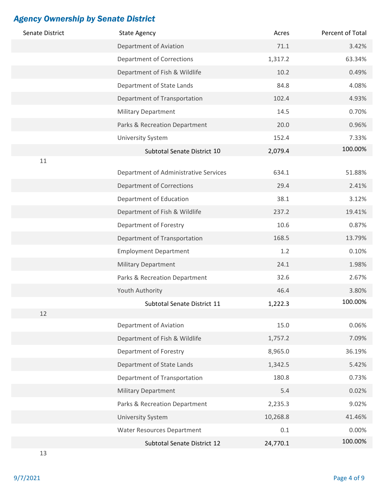| Senate District | <b>State Agency</b>                   | Acres    | Percent of Total |
|-----------------|---------------------------------------|----------|------------------|
|                 | Department of Aviation                | 71.1     | 3.42%            |
|                 | <b>Department of Corrections</b>      | 1,317.2  | 63.34%           |
|                 | Department of Fish & Wildlife         | 10.2     | 0.49%            |
|                 | Department of State Lands             | 84.8     | 4.08%            |
|                 | Department of Transportation          | 102.4    | 4.93%            |
|                 | <b>Military Department</b>            | 14.5     | 0.70%            |
|                 | Parks & Recreation Department         | 20.0     | 0.96%            |
|                 | <b>University System</b>              | 152.4    | 7.33%            |
|                 | Subtotal Senate District 10           | 2,079.4  | 100.00%          |
| 11              |                                       |          |                  |
|                 | Department of Administrative Services | 634.1    | 51.88%           |
|                 | <b>Department of Corrections</b>      | 29.4     | 2.41%            |
|                 | Department of Education               | 38.1     | 3.12%            |
|                 | Department of Fish & Wildlife         | 237.2    | 19.41%           |
|                 | Department of Forestry                | 10.6     | 0.87%            |
|                 | Department of Transportation          | 168.5    | 13.79%           |
|                 | <b>Employment Department</b>          | 1.2      | 0.10%            |
|                 | <b>Military Department</b>            | 24.1     | 1.98%            |
|                 | Parks & Recreation Department         | 32.6     | 2.67%            |
|                 | Youth Authority                       | 46.4     | 3.80%            |
|                 | Subtotal Senate District 11           | 1,222.3  | 100.00%          |
| 12              |                                       |          |                  |
|                 | Department of Aviation                | 15.0     | 0.06%            |
|                 | Department of Fish & Wildlife         | 1,757.2  | 7.09%            |
|                 | Department of Forestry                | 8,965.0  | 36.19%           |
|                 | Department of State Lands             | 1,342.5  | 5.42%            |
|                 | Department of Transportation          | 180.8    | 0.73%            |
|                 | <b>Military Department</b>            | 5.4      | 0.02%            |
|                 | Parks & Recreation Department         | 2,235.3  | 9.02%            |
|                 | <b>University System</b>              | 10,268.8 | 41.46%           |
|                 | <b>Water Resources Department</b>     | 0.1      | 0.00%            |
|                 | Subtotal Senate District 12           | 24,770.1 | 100.00%          |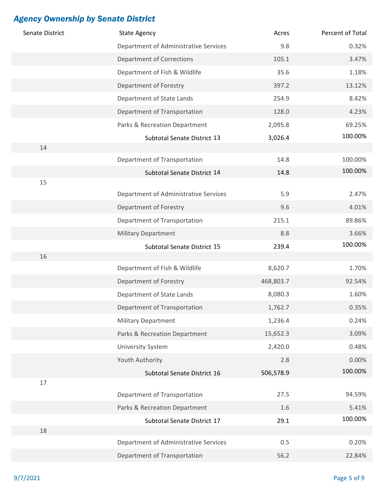| Senate District | <b>State Agency</b>                   | Acres     | Percent of Total |
|-----------------|---------------------------------------|-----------|------------------|
|                 | Department of Administrative Services | 9.8       | 0.32%            |
|                 | <b>Department of Corrections</b>      | 105.1     | 3.47%            |
|                 | Department of Fish & Wildlife         | 35.6      | 1.18%            |
|                 | Department of Forestry                | 397.2     | 13.12%           |
|                 | Department of State Lands             | 254.9     | 8.42%            |
|                 | Department of Transportation          | 128.0     | 4.23%            |
|                 | Parks & Recreation Department         | 2,095.8   | 69.25%           |
|                 | Subtotal Senate District 13           | 3,026.4   | 100.00%          |
| 14              |                                       |           |                  |
|                 | Department of Transportation          | 14.8      | 100.00%          |
|                 | Subtotal Senate District 14           | 14.8      | 100.00%          |
| 15              |                                       |           |                  |
|                 | Department of Administrative Services | 5.9       | 2.47%            |
|                 | Department of Forestry                | 9.6       | 4.01%            |
|                 | Department of Transportation          | 215.1     | 89.86%           |
|                 | <b>Military Department</b>            | 8.8       | 3.66%            |
|                 | Subtotal Senate District 15           | 239.4     | 100.00%          |
| 16              | Department of Fish & Wildlife         | 8,620.7   | 1.70%            |
|                 |                                       |           |                  |
|                 | Department of Forestry                | 468,803.7 | 92.54%           |
|                 | Department of State Lands             | 8,080.3   | 1.60%            |
|                 | Department of Transportation          | 1,762.7   | 0.35%            |
|                 | <b>Military Department</b>            | 1,236.4   | 0.24%            |
|                 | Parks & Recreation Department         | 15,652.3  | 3.09%            |
|                 | <b>University System</b>              | 2,420.0   | 0.48%            |
|                 | Youth Authority                       | 2.8       | 0.00%            |
|                 | Subtotal Senate District 16           | 506,578.9 | 100.00%          |
| 17              |                                       |           |                  |
|                 | Department of Transportation          | 27.5      | 94.59%           |
|                 | Parks & Recreation Department         | 1.6       | 5.41%<br>100.00% |
| 18              | Subtotal Senate District 17           | 29.1      |                  |
|                 | Department of Administrative Services | 0.5       | 0.20%            |
|                 | Department of Transportation          | 56.2      | 22.84%           |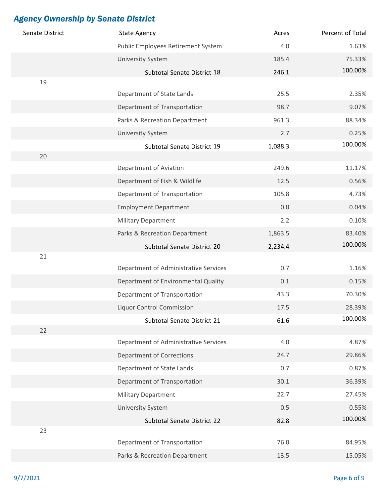| Senate District | <b>State Agency</b>                   | Acres   | Percent of Total |
|-----------------|---------------------------------------|---------|------------------|
|                 | Public Employees Retirement System    | 4.0     | 1.63%            |
|                 | <b>University System</b>              | 185.4   | 75.33%           |
|                 | Subtotal Senate District 18           | 246.1   | 100.00%          |
| 19              |                                       |         |                  |
|                 | Department of State Lands             | 25.5    | 2.35%            |
|                 | Department of Transportation          | 98.7    | 9.07%            |
|                 | Parks & Recreation Department         | 961.3   | 88.34%           |
|                 | <b>University System</b>              | 2.7     | 0.25%            |
| 20              | Subtotal Senate District 19           | 1,088.3 | 100.00%          |
|                 | Department of Aviation                | 249.6   | 11.17%           |
|                 | Department of Fish & Wildlife         | 12.5    | 0.56%            |
|                 | Department of Transportation          | 105.8   | 4.73%            |
|                 | <b>Employment Department</b>          | 0.8     | 0.04%            |
|                 | <b>Military Department</b>            | 2.2     | 0.10%            |
|                 | Parks & Recreation Department         | 1,863.5 | 83.40%           |
|                 | Subtotal Senate District 20           | 2,234.4 | 100.00%          |
| 21              |                                       |         |                  |
|                 | Department of Administrative Services | 0.7     | 1.16%            |
|                 | Department of Environmental Quality   | 0.1     | 0.15%            |
|                 | Department of Transportation          | 43.3    | 70.30%           |
|                 | <b>Liquor Control Commission</b>      | 17.5    | 28.39%           |
|                 | Subtotal Senate District 21           | 61.6    | 100.00%          |
| 22              | Department of Administrative Services | 4.0     |                  |
|                 |                                       |         | 4.87%            |
|                 | <b>Department of Corrections</b>      | 24.7    | 29.86%           |
|                 | Department of State Lands             | 0.7     | 0.87%            |
|                 | Department of Transportation          | 30.1    | 36.39%           |
|                 | <b>Military Department</b>            | 22.7    | 27.45%           |
|                 | <b>University System</b>              | 0.5     | 0.55%            |
| 23              | Subtotal Senate District 22           | 82.8    | 100.00%          |
|                 | Department of Transportation          | 76.0    | 84.95%           |
|                 | Parks & Recreation Department         | 13.5    | 15.05%           |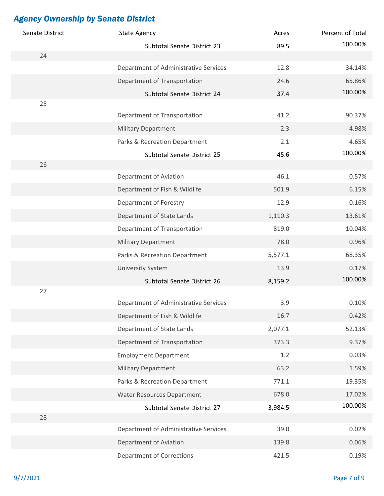| Senate District | <b>State Agency</b>                   | Acres   | Percent of Total |
|-----------------|---------------------------------------|---------|------------------|
|                 | Subtotal Senate District 23           | 89.5    | 100.00%          |
| 24              |                                       |         |                  |
|                 | Department of Administrative Services | 12.8    | 34.14%           |
|                 | Department of Transportation          | 24.6    | 65.86%           |
|                 | Subtotal Senate District 24           | 37.4    | 100.00%          |
| 25              |                                       | 41.2    | 90.37%           |
|                 | Department of Transportation          |         |                  |
|                 | <b>Military Department</b>            | 2.3     | 4.98%            |
|                 | Parks & Recreation Department         | 2.1     | 4.65%<br>100.00% |
| 26              | Subtotal Senate District 25           | 45.6    |                  |
|                 | Department of Aviation                | 46.1    | 0.57%            |
|                 | Department of Fish & Wildlife         | 501.9   | 6.15%            |
|                 | Department of Forestry                | 12.9    | 0.16%            |
|                 | Department of State Lands             | 1,110.3 | 13.61%           |
|                 | Department of Transportation          | 819.0   | 10.04%           |
|                 | <b>Military Department</b>            | 78.0    | 0.96%            |
|                 | Parks & Recreation Department         | 5,577.1 | 68.35%           |
|                 | <b>University System</b>              | 13.9    | 0.17%            |
|                 | Subtotal Senate District 26           | 8,159.2 | 100.00%          |
| 27              |                                       |         |                  |
|                 | Department of Administrative Services | 3.9     | 0.10%            |
|                 | Department of Fish & Wildlife         | 16.7    | 0.42%            |
|                 | Department of State Lands             | 2,077.1 | 52.13%           |
|                 | Department of Transportation          | 373.3   | 9.37%            |
|                 | <b>Employment Department</b>          | 1.2     | 0.03%            |
|                 | <b>Military Department</b>            | 63.2    | 1.59%            |
|                 | Parks & Recreation Department         | 771.1   | 19.35%           |
|                 | <b>Water Resources Department</b>     | 678.0   | 17.02%           |
|                 | Subtotal Senate District 27           | 3,984.5 | 100.00%          |
| 28              |                                       |         |                  |
|                 | Department of Administrative Services | 39.0    | 0.02%            |
|                 | Department of Aviation                | 139.8   | 0.06%            |
|                 | <b>Department of Corrections</b>      | 421.5   | 0.19%            |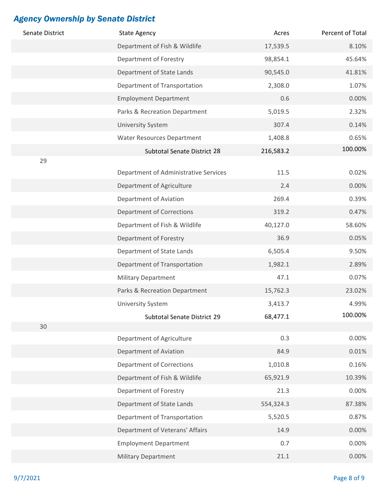| Senate District | <b>State Agency</b>                   | Acres     | Percent of Total |
|-----------------|---------------------------------------|-----------|------------------|
|                 | Department of Fish & Wildlife         | 17,539.5  | 8.10%            |
|                 | Department of Forestry                | 98,854.1  | 45.64%           |
|                 | Department of State Lands             | 90,545.0  | 41.81%           |
|                 | Department of Transportation          | 2,308.0   | 1.07%            |
|                 | <b>Employment Department</b>          | 0.6       | 0.00%            |
|                 | Parks & Recreation Department         | 5,019.5   | 2.32%            |
|                 | University System                     | 307.4     | 0.14%            |
|                 | <b>Water Resources Department</b>     | 1,408.8   | 0.65%            |
|                 | Subtotal Senate District 28           | 216,583.2 | 100.00%          |
| 29              |                                       |           |                  |
|                 | Department of Administrative Services | 11.5      | 0.02%            |
|                 | Department of Agriculture             | 2.4       | 0.00%            |
|                 | Department of Aviation                | 269.4     | 0.39%            |
|                 | <b>Department of Corrections</b>      | 319.2     | 0.47%            |
|                 | Department of Fish & Wildlife         | 40,127.0  | 58.60%           |
|                 | Department of Forestry                | 36.9      | 0.05%            |
|                 | Department of State Lands             | 6,505.4   | 9.50%            |
|                 | Department of Transportation          | 1,982.1   | 2.89%            |
|                 | <b>Military Department</b>            | 47.1      | 0.07%            |
|                 | Parks & Recreation Department         | 15,762.3  | 23.02%           |
|                 | <b>University System</b>              | 3,413.7   | 4.99%            |
|                 | Subtotal Senate District 29           | 68,477.1  | 100.00%          |
| 30              |                                       |           |                  |
|                 | Department of Agriculture             | 0.3       | 0.00%            |
|                 | Department of Aviation                | 84.9      | 0.01%            |
|                 | <b>Department of Corrections</b>      | 1,010.8   | 0.16%            |
|                 | Department of Fish & Wildlife         | 65,921.9  | 10.39%           |
|                 | Department of Forestry                | 21.3      | 0.00%            |
|                 | Department of State Lands             | 554,324.3 | 87.38%           |
|                 | Department of Transportation          | 5,520.5   | 0.87%            |
|                 | Department of Veterans' Affairs       | 14.9      | 0.00%            |
|                 | <b>Employment Department</b>          | 0.7       | 0.00%            |
|                 | <b>Military Department</b>            | 21.1      | 0.00%            |